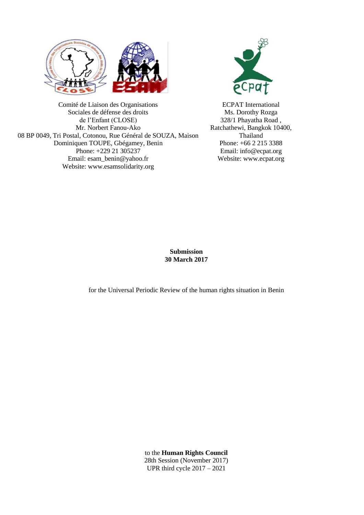



Comité de Liaison des Organisations Sociales de défense des droits de l'Enfant (CLOSE) Mr. Norbert Fanou-Ako 08 BP 0049, Tri Postal, Cotonou, Rue Général de SOUZA, Maison Dominiquen TOUPE, Gbégamey, Benin Phone: +229 21 305237 Email: esam\_benin@yahoo.fr Website: www.esamsolidarity.org

ECPAT International Ms. Dorothy Rozga 328/1 Phayatha Road , Ratchathewi, Bangkok 10400, Thailand Phone: +66 2 215 3388 Email: info@ecpat.org Website: www.ecpat.org

**Submission 30 March 2017**

for the Universal Periodic Review of the human rights situation in Benin

to the **Human Rights Council** 28th Session (November 2017) UPR third cycle 2017 – 2021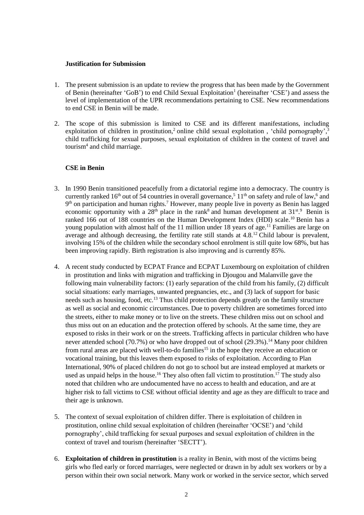## **Justification for Submission**

- 1. The present submission is an update to review the progress that has been made by the Government of Benin (hereinafter 'GoB') to end Child Sexual Exploitation<sup>1</sup> (hereinafter 'CSE') and assess the level of implementation of the UPR recommendations pertaining to CSE. New recommendations to end CSE in Benin will be made.
- 2. The scope of this submission is limited to CSE and its different manifestations, including exploitation of children in prostitution,<sup>2</sup> online child sexual exploitation, 'child pornography',<sup>3</sup> child trafficking for sexual purposes, sexual exploitation of children in the context of travel and tourism<sup>4</sup> and child marriage.

# **CSE in Benin**

- 3. In 1990 Benin transitioned peacefully from a dictatorial regime into a democracy. The country is currently ranked 16<sup>th</sup> out of 54 countries in overall governance,<sup>5</sup> 11<sup>th</sup> on safety and rule of law,<sup>6</sup> and  $9<sup>th</sup>$  on participation and human rights.<sup>7</sup> However, many people live in poverty as Benin has lagged economic opportunity with a 28<sup>th</sup> place in the rank<sup>8</sup> and human development at  $31^{st}$ .<sup>9</sup> Benin is ranked 166 out of 188 countries on the Human Development Index (HDI) scale.<sup>10</sup> Benin has a young population with almost half of the 11 million under 18 years of age.<sup>11</sup> Families are large on average and although decreasing, the fertility rate still stands at 4.8.<sup>12</sup> Child labour is prevalent, involving 15% of the children while the secondary school enrolment is still quite low 68%, but has been improving rapidly. Birth registration is also improving and is currently 85%.
- 4. A recent study conducted by ECPAT France and ECPAT Luxembourg on exploitation of children in prostitution and links with migration and trafficking in Djougou and Malanville gave the following main vulnerability factors: (1) early separation of the child from his family, (2) difficult social situations: early marriages, unwanted pregnancies, etc., and (3) lack of support for basic needs such as housing, food, etc.<sup>13</sup> Thus child protection depends greatly on the family structure as well as social and economic circumstances. Due to poverty children are sometimes forced into the streets, either to make money or to live on the streets. These children miss out on school and thus miss out on an education and the protection offered by schools. At the same time, they are exposed to risks in their work or on the streets. Trafficking affects in particular children who have never attended school (70.7%) or who have dropped out of school (29.3%).<sup>14</sup> Many poor children from rural areas are placed with well-to-do families<sup>15</sup> in the hope they receive an education or vocational training, but this leaves them exposed to risks of exploitation. According to Plan International, 90% of placed children do not go to school but are instead employed at markets or used as unpaid helps in the house.<sup>16</sup> They also often fall victim to prostitution.<sup>17</sup> The study also noted that children who are undocumented have no access to health and education, and are at higher risk to fall victims to CSE without official identity and age as they are difficult to trace and their age is unknown.
- 5. The context of sexual exploitation of children differ. There is exploitation of children in prostitution, online child sexual exploitation of children (hereinafter 'OCSE') and 'child pornography', child trafficking for sexual purposes and sexual exploitation of children in the context of travel and tourism (hereinafter 'SECTT').
- 6. **Exploitation of children in prostitution** is a reality in Benin, with most of the victims being girls who fled early or forced marriages, were neglected or drawn in by adult sex workers or by a person within their own social network. Many work or worked in the service sector, which served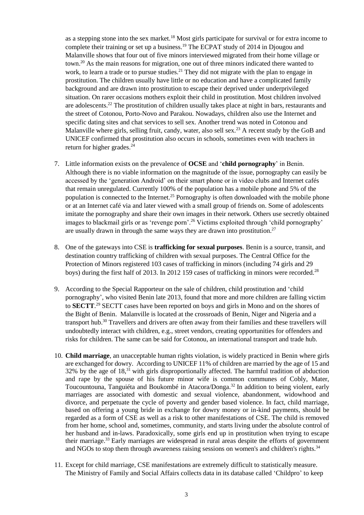as a stepping stone into the sex market.<sup>18</sup> Most girls participate for survival or for extra income to complete their training or set up a business.<sup>19</sup> The ECPAT study of 2014 in Djougou and Malanville shows that four out of five minors interviewed migrated from their home village or town.<sup>20</sup> As the main reasons for migration, one out of three minors indicated there wanted to work, to learn a trade or to pursue studies.<sup>21</sup> They did not migrate with the plan to engage in prostitution. The children usually have little or no education and have a complicated family background and are drawn into prostitution to escape their deprived under underprivileged situation. On rarer occasions mothers exploit their child in prostitution. Most children involved are adolescents.<sup>22</sup> The prostitution of children usually takes place at night in bars, restaurants and the street of Cotonou, Porto-Novo and Parakou. Nowadays, children also use the Internet and specific dating sites and chat services to sell sex. Another trend was noted in Cotonou and Malanville where girls, selling fruit, candy, water, also sell sex.<sup>23</sup> A recent study by the GoB and UNICEF confirmed that prostitution also occurs in schools, sometimes even with teachers in return for higher grades.<sup>24</sup>

- 7. Little information exists on the prevalence of **OCSE** and '**child pornography**' in Benin. Although there is no viable information on the magnitude of the issue, pornography can easily be accessed by the 'generation Android' on their smart phone or in video clubs and Internet cafés that remain unregulated. Currently 100% of the population has a mobile phone and 5% of the population is connected to the Internet.<sup>25</sup> Pornography is often downloaded with the mobile phone or at an Internet café via and later viewed with a small group of friends on. Some of adolescents imitate the pornography and share their own images in their network. Others use secretly obtained images to blackmail girls or as 'revenge porn'.<sup>26</sup> Victims exploited through 'child pornography' are usually drawn in through the same ways they are drawn into prostitution.<sup>27</sup>
- 8. One of the gateways into CSE is **trafficking for sexual purposes**. Benin is a source, transit, and destination country trafficking of children with sexual purposes. The Central Office for the Protection of Minors registered 103 cases of trafficking in minors (including 74 girls and 29 boys) during the first half of 2013. In 2012 159 cases of trafficking in minors were recorded.<sup>28</sup>
- 9. According to the Special Rapporteur on the sale of children, child prostitution and 'child pornography', who visited Benin late 2013, found that more and more children are falling victim to **SECTT**. <sup>29</sup> SECTT cases have been reported on boys and girls in Mono and on the shores of the Bight of Benin. Malanville is located at the crossroads of Benin, Niger and Nigeria and a transport hub.<sup>30</sup> Travellers and drivers are often away from their families and these travellers will undoubtedly interact with children, e.g., street vendors, creating opportunities for offenders and risks for children. The same can be said for Cotonou, an international transport and trade hub.
- 10. **Child marriage**, an unacceptable human rights violation, is widely practiced in Benin where girls are exchanged for dowry. According to UNICEF 11% of children are married by the age of 15 and 32% by the age of 18,<sup>31</sup> with girls disproportionally affected. The harmful tradition of abduction and rape by the spouse of his future minor wife is common communes of Cobly, Mater, Toucountouna, Tanguiéta and Boukombé in Atacora/Donga.<sup>32</sup> In addition to being violent, early marriages are associated with domestic and sexual violence, abandonment, widowhood and divorce, and perpetuate the cycle of poverty and gender based violence. In fact, child marriage, based on offering a young bride in exchange for dowry money or in-kind payments, should be regarded as a form of CSE as well as a risk to other manifestations of CSE. The child is removed from her home, school and, sometimes, community, and starts living under the absolute control of her husband and in-laws. Paradoxically, some girls end up in prostitution when trying to escape their marriage.<sup>33</sup> Early marriages are widespread in rural areas despite the efforts of government and NGOs to stop them through awareness raising sessions on women's and children's rights.<sup>34</sup>
- 11. Except for child marriage, CSE manifestations are extremely difficult to statistically measure. The Ministry of Family and Social Affairs collects data in its database called 'Childpro' to keep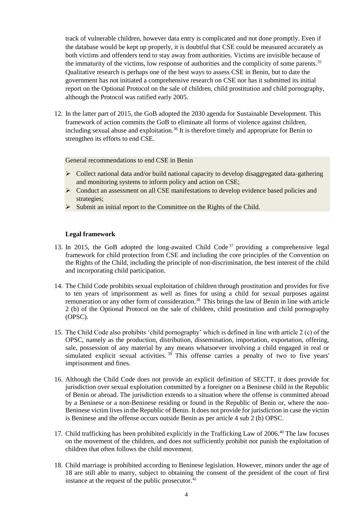track of vulnerable children, however data entry is complicated and not done promptly. Even if the database would be kept up properly, it is doubtful that CSE could be measured accurately as both victims and offenders tend to stay away from authorities. Victims are invisible because of the immaturity of the victims, low response of authorities and the complicity of some parents.<sup>35</sup> Qualitative research is perhaps one of the best ways to assess CSE in Benin, but to date the government has not initiated a comprehensive research on CSE nor has it submitted its initial report on the Optional Protocol on the sale of children, child prostitution and child pornography, although the Protocol was ratified early 2005.

12. In the latter part of 2015, the GoB adopted the 2030 agenda for Sustainable Development. This framework of action commits the GoB to eliminate all forms of violence against children, including sexual abuse and exploitation.<sup>36</sup> It is therefore timely and appropriate for Benin to strengthen its efforts to end CSE.

## General recommendations to end CSE in Benin

- Collect national data and/or build national capacity to develop disaggregated data-gathering and monitoring systems to inform policy and action on CSE;
- Conduct an assessment on all CSE manifestations to develop evidence based policies and strategies;
- $\triangleright$  Submit an initial report to the Committee on the Rights of the Child.

### **Legal framework**

- 13. In 2015, the GoB adopted the long-awaited Child Code<sup>37</sup> providing a comprehensive legal framework for child protection from CSE and including the core principles of the Convention on the Rights of the Child, including the principle of non-discrimination, the best interest of the child and incorporating child participation.
- 14. The Child Code prohibits sexual exploitation of children through prostitution and provides for five to ten years of imprisonment as well as fines for using a child for sexual purposes against remuneration or any other form of consideration.<sup>38</sup> This brings the law of Benin in line with article 2 (b) of the Optional Protocol on the sale of children, child prostitution and child pornography (OPSC).
- 15. The Child Code also prohibits 'child pornography' which is defined in line with article 2 (c) of the OPSC, namely as the production, distribution, dissemination, importation, exportation, offering, sale, possession of any material by any means whatsoever involving a child engaged in real or simulated explicit sexual activities.<sup>39</sup> This offense carries a penalty of two to five years' imprisonment and fines.
- 16. Although the Child Code does not provide an explicit definition of SECTT, it does provide for jurisdiction over sexual exploitation committed by a foreigner on a Beninese child in the Republic of Benin or abroad. The jurisdiction extends to a situation where the offense is committed abroad by a Beninese or a non-Beninese residing or found in the Republic of Benin or, where the non-Beninese victim lives in the Republic of Benin. It does not provide for jurisdiction in case the victim is Beninese and the offense occurs outside Benin as per article 4 sub 2 (b) OPSC.
- 17. Child trafficking has been prohibited explicitly in the Trafficking Law of 2006.<sup>40</sup> The law focuses on the movement of the children, and does not sufficiently prohibit nor punish the exploitation of children that often follows the child movement.
- 18. Child marriage is prohibited according to Beninese legislation. However, minors under the age of 18 are still able to marry, subject to obtaining the consent of the president of the court of first instance at the request of the public prosecutor.<sup>41</sup>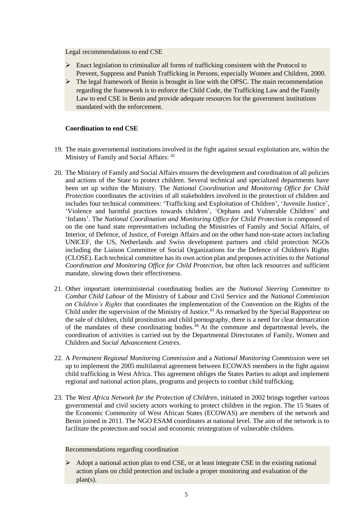Legal recommendations to end CSE

- $\triangleright$  Enact legislation to criminalize all forms of trafficking consistent with the Protocol to Prevent, Suppress and Punish Trafficking in Persons, especially Women and Children, 2000.
- $\triangleright$  The legal framework of Benin is brought in line with the OPSC. The main recommendation regarding the framework is to enforce the Child Code, the Trafficking Law and the Family Law to end CSE in Benin and provide adequate resources for the government institutions mandated with the enforcement.

## **Coordination to end CSE**

- 19. The main governmental institutions involved in the fight against sexual exploitation are, within the Ministry of Family and Social Affairs: <sup>42</sup>
- 20. The Ministry of Family and Social Affairs ensures the development and coordination of all policies and actions of the State to protect children. Several technical and specialized departments have been set up within the Ministry. The *National Coordination and Monitoring Office for Child Protection* coordinates the activities of all stakeholders involved in the protection of children and includes four technical committees: 'Trafficking and Exploitation of Children', 'Juvenile Justice', 'Violence and harmful practices towards children', 'Orphans and Vulnerable Children' and 'Infants'. The *National Coordination and Monitoring Office for Child Protection* is composed of on the one hand state representatives including the Ministries of Family and Social Affairs, of Interior, of Defence, of Justice, of Foreign Affairs and on the other hand non-state actors including UNICEF, the US, Netherlands and Swiss development partners and child protection NGOs including the Liaison Committee of Social Organizations for the Defence of Children's Rights (CLOSE). Each technical committee has its own action plan and proposes activities to the *National Coordination and Monitoring Office for Child Protection*, but often lack resources and sufficient mandate, slowing down their effectiveness.
- 21. Other important interministerial coordinating bodies are the *National Steering Committee to Combat Child Labour* of the Ministry of Labour and Civil Service and the *National Commission on Children's Rights* that coordinates the implementation of the Convention on the Rights of the Child under the supervision of the Ministry of Justice.<sup>43</sup> As remarked by the Special Rapporteur on the sale of children, child prostitution and child pornography, there is a need for clear demarcation of the mandates of these coordinating bodies.<sup>44</sup> At the commune and departmental levels, the coordination of activities is carried out by the Departmental Directorates of Family, Women and Children and *Social Advancement Centres*.
- 22. A *Permanent Regional Monitoring Commission* and a *National Monitoring Commission* were set up to implement the 2005 multilateral agreement between ECOWAS members in the fight against child trafficking in West Africa. This agreement obliges the States Parties to adopt and implement regional and national action plans, programs and projects to combat child trafficking.
- 23. The *West Africa Network for the Protection of Children*, initiated in 2002 brings together various governmental and civil society actors working to protect children in the region. The 15 States of the Economic Community of West African States (ECOWAS) are members of the network and Benin joined in 2011. The NGO ESAM coordinates at national level. The aim of the network is to facilitate the protection and social and economic reintegration of vulnerable children.

Recommendations regarding coordination

 $\triangleright$  Adopt a national action plan to end CSE, or at least integrate CSE in the existing national action plans on child protection and include a proper monitoring and evaluation of the plan(s).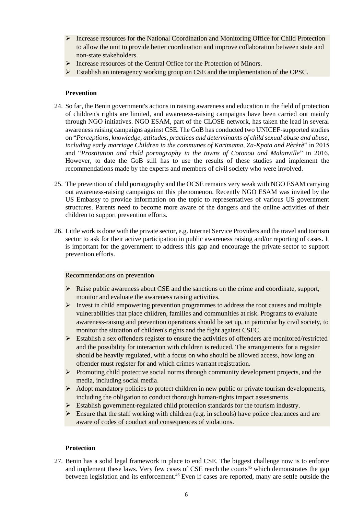- $\triangleright$  Increase resources for the National Coordination and Monitoring Office for Child Protection to allow the unit to provide better coordination and improve collaboration between state and non-state stakeholders.
- Increase resources of the Central Office for the Protection of Minors.
- $\triangleright$  Establish an interagency working group on CSE and the implementation of the OPSC.

## **Prevention**

- 24. So far, the Benin government's actions in raising awareness and education in the field of protection of children's rights are limited, and awareness-raising campaigns have been carried out mainly through NGO initiatives. NGO ESAM, part of the CLOSE network, has taken the lead in several awareness raising campaigns against CSE. The GoB has conducted two UNICEF-supported studies on "*Perceptions, knowledge, attitudes, practices and determinants of child sexual abuse and abuse, including early marriage Children in the communes of Karimama, Za-Kpota and Pèrèrè*" in 2015 and "*Prostitution and child pornography in the towns of Cotonou and Malanville*" in 2016. However, to date the GoB still has to use the results of these studies and implement the recommendations made by the experts and members of civil society who were involved.
- 25. The prevention of child pornography and the OCSE remains very weak with NGO ESAM carrying out awareness-raising campaigns on this phenomenon. Recently NGO ESAM was invited by the US Embassy to provide information on the topic to representatives of various US government structures. Parents need to become more aware of the dangers and the online activities of their children to support prevention efforts.
- 26. Little work is done with the private sector, e.g. Internet Service Providers and the travel and tourism sector to ask for their active participation in public awareness raising and/or reporting of cases. It is important for the government to address this gap and encourage the private sector to support prevention efforts.

#### Recommendations on prevention

- $\triangleright$  Raise public awareness about CSE and the sanctions on the crime and coordinate, support, monitor and evaluate the awareness raising activities.
- $\triangleright$  Invest in child empowering prevention programmes to address the root causes and multiple vulnerabilities that place children, families and communities at risk. Programs to evaluate awareness-raising and prevention operations should be set up, in particular by civil society, to monitor the situation of children's rights and the fight against CSEC.
- $\triangleright$  Establish a sex offenders register to ensure the activities of offenders are monitored/restricted and the possibility for interaction with children is reduced. The arrangements for a register should be heavily regulated, with a focus on who should be allowed access, how long an offender must register for and which crimes warrant registration.
- $\triangleright$  Promoting child protective social norms through community development projects, and the media, including social media.
- $\triangleright$  Adopt mandatory policies to protect children in new public or private tourism developments, including the obligation to conduct thorough human-rights impact assessments.
- $\triangleright$  Establish government-regulated child protection standards for the tourism industry.
- $\triangleright$  Ensure that the staff working with children (e.g. in schools) have police clearances and are aware of codes of conduct and consequences of violations.

## **Protection**

27. Benin has a solid legal framework in place to end CSE. The biggest challenge now is to enforce and implement these laws. Very few cases of CSE reach the courts<sup>45</sup> which demonstrates the gap between legislation and its enforcement.<sup>46</sup> Even if cases are reported, many are settle outside the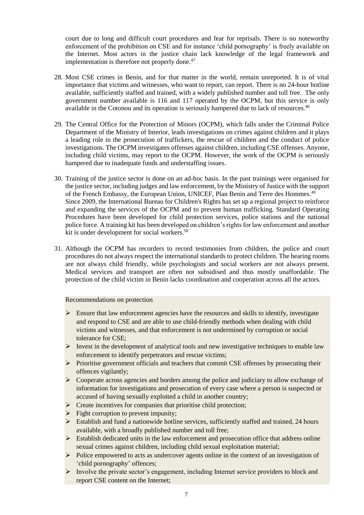court due to long and difficult court procedures and fear for reprisals. There is no noteworthy enforcement of the prohibition on CSE and for instance 'child pornography' is freely available on the Internet. Most actors in the justice chain lack knowledge of the legal framework and implementation is therefore not properly done.<sup>47</sup>

- 28. Most CSE crimes in Benin, and for that matter in the world, remain unreported. It is of vital importance that victims and witnesses, who want to report, can report. There is no 24-hour hotline available, sufficiently staffed and trained, with a widely published number and toll free. The only government number available is 116 and 117 operated by the OCPM, but this service is only available in the Cotonou and its operation is seriously hampered due to lack of resources.<sup>48</sup>
- 29. The Central Office for the Protection of Minors (OCPM), which falls under the Criminal Police Department of the Ministry of Interior, leads investigations on crimes against children and it plays a leading role in the prosecution of traffickers, the rescue of children and the conduct of police investigations. The OCPM investigates offenses against children, including CSE offenses. Anyone, including child victims, may report to the OCPM. However, the work of the OCPM is seriously hampered due to inadequate funds and understaffing issues.
- 30. Training of the justice sector is done on an ad-hoc basis. In the past trainings were organised for the justice sector, including judges and law enforcement, by the Ministry of Justice with the support of the French Embassy, the European Union, UNICEF, Plan Benin and Terre des Hommes.<sup>49</sup> Since 2009, the International Bureau for Children's Rights has set up a regional project to reinforce and expanding the services of the OCPM and to prevent human trafficking. Standard Operating Procedures have been developed for child protection services, police stations and the national police force. A training kit has been developed on children's rights for law enforcement and another kit is under development for social workers. 50
- 31. Although the OCPM has recorders to record testimonies from children, the police and court procedures do not always respect the international standards to protect children. The hearing rooms are not always child friendly, while psychologists and social workers are not always present. Medical services and transport are often not subsidised and thus mostly unaffordable. The protection of the child victim in Benin lacks coordination and cooperation across all the actors.

## Recommendations on protection

- $\triangleright$  Ensure that law enforcement agencies have the resources and skills to identify, investigate and respond to CSE and are able to use child-friendly methods when dealing with child victims and witnesses, and that enforcement is not undermined by corruption or social tolerance for CSE;
- $\triangleright$  Invest in the development of analytical tools and new investigative techniques to enable law enforcement to identify perpetrators and rescue victims;
- Prioritise government officials and teachers that commit CSE offenses by prosecuting their offences vigilantly;
- $\triangleright$  Cooperate across agencies and borders among the police and judiciary to allow exchange of information for investigations and prosecution of every case where a person is suspected or accused of having sexually exploited a child in another country;
- $\triangleright$  Create incentives for companies that prioritise child protection;
- $\triangleright$  Fight corruption to prevent impunity;
- $\triangleright$  Establish and fund a nationwide hotline services, sufficiently staffed and trained, 24 hours available, with a broadly published number and toll free;
- $\triangleright$  Establish dedicated units in the law enforcement and prosecution office that address online sexual crimes against children, including child sexual exploitation material;
- $\triangleright$  Police empowered to acts as undercover agents online in the context of an investigation of 'child pornography' offences;
- $\triangleright$  Involve the private sector's engagement, including Internet service providers to block and report CSE content on the Internet;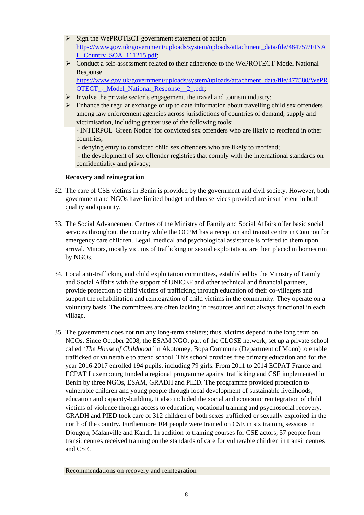- $\triangleright$  Sign the WePROTECT government statement of action [https://www.gov.uk/government/uploads/system/uploads/attachment\\_data/file/484757/FINA](https://www.gov.uk/government/uploads/system/uploads/attachment_data/file/484757/FINAL_Country_SOA_111215.pdf) [L\\_Country\\_SOA\\_111215.pdf;](https://www.gov.uk/government/uploads/system/uploads/attachment_data/file/484757/FINAL_Country_SOA_111215.pdf)
- Conduct a self-assessment related to their adherence to the WePROTECT Model National Response [https://www.gov.uk/government/uploads/system/uploads/attachment\\_data/file/477580/WePR](https://www.gov.uk/government/uploads/system/uploads/attachment_data/file/477580/WePROTECT_-_Model_National_Response__2_.pdf)

OTECT - Model National Response 2.pdf;

- $\triangleright$  Involve the private sector's engagement, the travel and tourism industry;
- $\triangleright$  Enhance the regular exchange of up to date information about travelling child sex offenders among law enforcement agencies across jurisdictions of countries of demand, supply and victimisation, including greater use of the following tools:

- INTERPOL 'Green Notice' for convicted sex offenders who are likely to reoffend in other countries;

- denying entry to convicted child sex offenders who are likely to reoffend;

- the development of sex offender registries that comply with the international standards on confidentiality and privacy;

# **Recovery and reintegration**

- 32. The care of CSE victims in Benin is provided by the government and civil society. However, both government and NGOs have limited budget and thus services provided are insufficient in both quality and quantity.
- 33. The Social Advancement Centres of the Ministry of Family and Social Affairs offer basic social services throughout the country while the OCPM has a reception and transit centre in Cotonou for emergency care children. Legal, medical and psychological assistance is offered to them upon arrival. Minors, mostly victims of trafficking or sexual exploitation, are then placed in homes run by NGOs.
- 34. Local anti-trafficking and child exploitation committees, established by the Ministry of Family and Social Affairs with the support of UNICEF and other technical and financial partners, provide protection to child victims of trafficking through education of their co-villagers and support the rehabilitation and reintegration of child victims in the community. They operate on a voluntary basis. The committees are often lacking in resources and not always functional in each village.
- 35. The government does not run any long-term shelters; thus, victims depend in the long term on NGOs. Since October 2008, the ESAM NGO, part of the CLOSE network, set up a private school called *'The House of Childhood'* in Akotomey, Bopa Commune (Department of Mono) to enable trafficked or vulnerable to attend school. This school provides free primary education and for the year 2016-2017 enrolled 194 pupils, including 79 girls. From 2011 to 2014 ECPAT France and ECPAT Luxembourg funded a regional programme against trafficking and CSE implemented in Benin by three NGOs, ESAM, GRADH and PIED. The programme provided protection to vulnerable children and young people through local development of sustainable livelihoods, education and capacity-building. It also included the social and economic reintegration of child victims of violence through access to education, vocational training and psychosocial recovery. GRADH and PIED took care of 312 children of both sexes trafficked or sexually exploited in the north of the country. Furthermore 104 people were trained on CSE in six training sessions in Djougou, Malanville and Kandi. In addition to training courses for CSE actors, 57 people from transit centres received training on the standards of care for vulnerable children in transit centres and CSE.

Recommendations on recovery and reintegration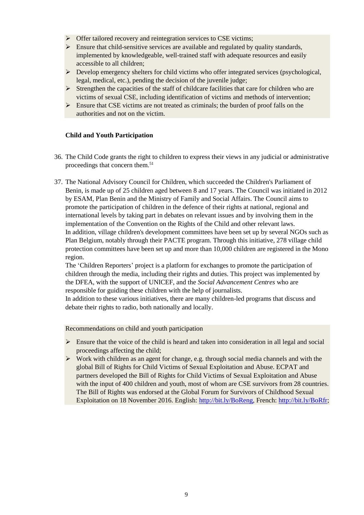- $\triangleright$  Offer tailored recovery and reintegration services to CSE victims;
- $\triangleright$  Ensure that child-sensitive services are available and regulated by quality standards, implemented by knowledgeable, well-trained staff with adequate resources and easily accessible to all children;
- $\triangleright$  Develop emergency shelters for child victims who offer integrated services (psychological, legal, medical, etc.), pending the decision of the juvenile judge;
- $\triangleright$  Strengthen the capacities of the staff of childcare facilities that care for children who are victims of sexual CSE, including identification of victims and methods of intervention;
- $\triangleright$  Ensure that CSE victims are not treated as criminals; the burden of proof falls on the authorities and not on the victim.

# **Child and Youth Participation**

- 36. The Child Code grants the right to children to express their views in any judicial or administrative proceedings that concern them.<sup>51</sup>
- 37. The National Advisory Council for Children, which succeeded the Children's Parliament of Benin, is made up of 25 children aged between 8 and 17 years. The Council was initiated in 2012 by ESAM, Plan Benin and the Ministry of Family and Social Affairs. The Council aims to promote the participation of children in the defence of their rights at national, regional and international levels by taking part in debates on relevant issues and by involving them in the implementation of the Convention on the Rights of the Child and other relevant laws. In addition, village children's development committees have been set up by several NGOs such as Plan Belgium, notably through their PACTE program. Through this initiative, 278 village child protection committees have been set up and more than 10,000 children are registered in the Mono region.

The 'Children Reporters' project is a platform for exchanges to promote the participation of children through the media, including their rights and duties. This project was implemented by the DFEA, with the support of UNICEF, and the *Social Advancement Centres* who are responsible for guiding these children with the help of journalists.

In addition to these various initiatives, there are many children-led programs that discuss and debate their rights to radio, both nationally and locally.

Recommendations on child and youth participation

- $\triangleright$  Ensure that the voice of the child is heard and taken into consideration in all legal and social proceedings affecting the child;
- $\triangleright$  Work with children as an agent for change, e.g. through social media channels and with the global Bill of Rights for Child Victims of Sexual Exploitation and Abuse. ECPAT and partners developed the Bill of Rights for Child Victims of Sexual Exploitation and Abuse with the input of 400 children and youth, most of whom are CSE survivors from 28 countries. The Bill of Rights was endorsed at the Global Forum for Survivors of Childhood Sexual Exploitation on 18 November 2016. English: [http://bit.ly/BoReng,](http://bit.ly/BoReng) French[: http://bit.ly/BoRfr;](http://bit.ly/BoRfr)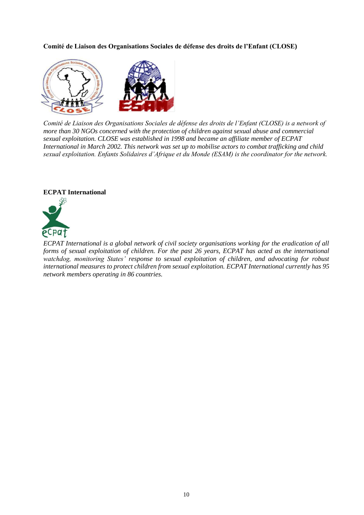**Comité de Liaison des Organisations Sociales de défense des droits de l'Enfant (CLOSE)**



*Comité de Liaison des Organisations Sociales de défense des droits de l'Enfant (CLOSE) is a network of more than 30 NGOs concerned with the protection of children against sexual abuse and commercial sexual exploitation. CLOSE was established in 1998 and became an affiliate member of ECPAT International in March 2002. This network was set up to mobilise actors to combat trafficking and child sexual exploitation. Enfants Solidaires d'Afrique et du Monde (ESAM) is the coordinator for the network.*

## **ECPAT International**



*ECPAT International is a global network of civil society organisations working for the eradication of all forms of sexual exploitation of children. For the past 26 years, ECPAT has acted as the international watchdog, monitoring States' response to sexual exploitation of children, and advocating for robust international measures to protect children from sexual exploitation. ECPAT International currently has 95 network members operating in 86 countries.*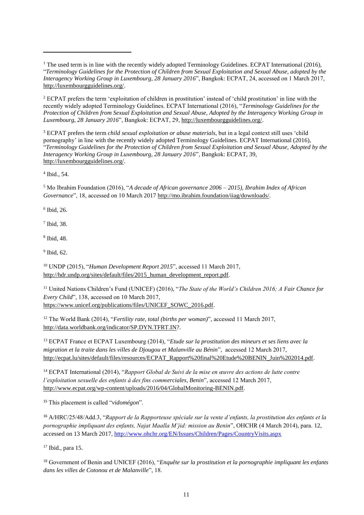<sup>1</sup> The used term is in line with the recently widely adopted Terminology Guidelines. ECPAT International (2016), "*Terminology Guidelines for the Protection of Children from Sexual Exploitation and Sexual Abuse, adopted by the Interagency Working Group in Luxembourg, 28 January 2016*", Bangkok: ECPAT, 24, accessed on 1 March 2017, [http://luxembourgguidelines.org/.](http://luxembourgguidelines.org/)

<sup>2</sup> ECPAT prefers the term 'exploitation of children in prostitution' instead of 'child prostitution' in line with the recently widely adopted Terminology Guidelines. ECPAT International (2016), "*Terminology Guidelines for the Protection of Children from Sexual Exploitation and Sexual Abuse, Adopted by the Interagency Working Group in Luxembourg, 28 January 2016*", Bangkok: ECPAT, 29[, http://luxembourgguidelines.org/.](http://luxembourgguidelines.org/)

<sup>3</sup> ECPAT prefers the term *child sexual exploitation or abuse materials*, but in a legal context still uses 'child pornography' in line with the recently widely adopted Terminology Guidelines. ECPAT International (2016), "*Terminology Guidelines for the Protection of Children from Sexual Exploitation and Sexual Abuse, Adopted by the Interagency Working Group in Luxembourg, 28 January 2016*", Bangkok: ECPAT, 39, [http://luxembourgguidelines.org/.](http://luxembourgguidelines.org/)

4 Ibid., 54.

 $\overline{a}$ 

<sup>5</sup> Mo Ibrahim Foundation (2016), "*A decade of African governance 2006 – 2015), Ibrahim Index of African Governance*", 18, accessed on 10 March 2017 [http://mo.ibrahim.foundation/iiag/downloads/.](http://mo.ibrahim.foundation/iiag/downloads/)

6 Ibid, 26.

7 Ibid, 38.

8 Ibid, 48.

9 Ibid, 62.

<sup>10</sup> UNDP (2015), "*Human Development Report 2015*", accessed 11 March 2017, [http://hdr.undp.org/sites/default/files/2015\\_human\\_development\\_report.pdf.](http://hdr.undp.org/sites/default/files/2015_human_development_report.pdf)

<sup>11</sup> United Nations Children's Fund (UNICEF) (2016), "*The State of the World's Children 2016; A Fair Chance for Every Child*", 138, accessed on 10 March 2017, [https://www.unicef.org/publications/files/UNICEF\\_SOWC\\_2016.pdf.](https://www.unicef.org/publications/files/UNICEF_SOWC_2016.pdf)

<sup>12</sup> The World Bank (2014), "*Fertility rate, total (births per woman)*", accessed 11 March 2017, [http://data.worldbank.org/indicator/SP.DYN.TFRT.IN?](http://data.worldbank.org/indicator/SP.DYN.TFRT.IN).

<sup>13</sup> ECPAT France et ECPAT Luxembourg (2014), "*Etude sur la prostitution des mineurs et ses liens avec la migration et la traite dans les villes de Djougou et Malanville au Bénin*", accessed 12 March 2017, [http://ecpat.lu/sites/default/files/resources/ECPAT\\_Rapport%20final%20Etude%20BENIN\\_Juin%202014.pdf.](http://ecpat.lu/sites/default/files/resources/ECPAT_Rapport%20final%20Etude%20BENIN_Juin%202014.pdf)

<sup>14</sup> ECPAT International (2014), "*Rapport Global de Suivi de la mise en œuvre des actions de lutte contre l'exploitation sexuelle des enfants à des fins commerciales, Benin*", accessed 12 March 2017, [http://www.ecpat.org/wp-content/uploads/2016/04/GlobalMonitoring-BENIN.pdf.](http://www.ecpat.org/wp-content/uploads/2016/04/GlobalMonitoring-BENIN.pdf) 

<sup>15</sup> This placement is called "*vidomégon*".

<sup>16</sup> A/HRC/25/48/Add.3, "*Rapport de la Rapporteuse spéciale sur la vente d'enfants, la prostitution des enfants et la pornographie impliquant des enfants, Najat Maalla M'jid: mission au Benin*", OHCHR (4 March 2014), para. 12, accessed on 13 March 2017,<http://www.ohchr.org/EN/Issues/Children/Pages/CountryVisits.aspx>

<sup>17</sup> Ibid., para 15.

<sup>18</sup> Government of Benin and UNICEF (2016), "*Enquête sur la prostitution et la pornographie impliquant les enfants dans les villes de Cotonou et de Malanville*", 18.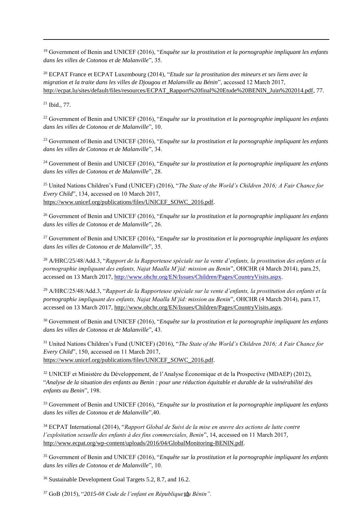<sup>19</sup> Government of Benin and UNICEF (2016), "*Enquête sur la prostitution et la pornographie impliquant les enfants dans les villes de Cotonou et de Malanville*", 35.

<sup>20</sup> ECPAT France et ECPAT Luxembourg (2014), "*Etude sur la prostitution des mineurs et ses liens avec la migration et la traite dans les villes de Djougou et Malanville au Bénin*", accessed 12 March 2017, [http://ecpat.lu/sites/default/files/resources/ECPAT\\_Rapport%20final%20Etude%20BENIN\\_Juin%202014.pdf,](http://ecpat.lu/sites/default/files/resources/ECPAT_Rapport%20final%20Etude%20BENIN_Juin%202014.pdf) 77.

<sup>21</sup> Ibid., 77.

j

<sup>22</sup> Government of Benin and UNICEF (2016), "*Enquête sur la prostitution et la pornographie impliquant les enfants dans les villes de Cotonou et de Malanville*", 10.

<sup>23</sup> Government of Benin and UNICEF (2016), "*Enquête sur la prostitution et la pornographie impliquant les enfants dans les villes de Cotonou et de Malanville*", 34.

<sup>24</sup> Government of Benin and UNICEF (2016), "*Enquête sur la prostitution et la pornographie impliquant les enfants dans les villes de Cotonou et de Malanville*", 28.

<sup>25</sup> United Nations Children's Fund (UNICEF) (2016), "*The State of the World's Children 2016; A Fair Chance for Every Child*", 134, accessed on 10 March 2017, [https://www.unicef.org/publications/files/UNICEF\\_SOWC\\_2016.pdf.](https://www.unicef.org/publications/files/UNICEF_SOWC_2016.pdf)

<sup>26</sup> Government of Benin and UNICEF (2016), "*Enquête sur la prostitution et la pornographie impliquant les enfants dans les villes de Cotonou et de Malanville*", 26.

<sup>27</sup> Government of Benin and UNICEF (2016), "*Enquête sur la prostitution et la pornographie impliquant les enfants dans les villes de Cotonou et de Malanville*", 35.

<sup>28</sup> A/HRC/25/48/Add.3, "*Rapport de la Rapporteuse spéciale sur la vente d'enfants, la prostitution des enfants et la pornographie impliquant des enfants, Najat Maalla M'jid: mission au Benin*", OHCHR (4 March 2014), para.25, accessed on 13 March 2017, [http://www.ohchr.org/EN/Issues/Children/Pages/CountryVisits.aspx.](http://www.ohchr.org/EN/Issues/Children/Pages/CountryVisits.aspx)

<sup>29</sup> A/HRC/25/48/Add.3, "*Rapport de la Rapporteuse spéciale sur la vente d'enfants, la prostitution des enfants et la pornographie impliquant des enfants, Najat Maalla M'jid: mission au Benin*", OHCHR (4 March 2014), para.17, accessed on 13 March 2017, [http://www.ohchr.org/EN/Issues/Children/Pages/CountryVisits.aspx.](http://www.ohchr.org/EN/Issues/Children/Pages/CountryVisits.aspx)

<sup>30</sup> Government of Benin and UNICEF (2016), "*Enquête sur la prostitution et la pornographie impliquant les enfants dans les villes de Cotonou et de Malanville*", 43.

<sup>31</sup> United Nations Children's Fund (UNICEF) (2016), "*The State of the World's Children 2016; A Fair Chance for Every Child*", 150, accessed on 11 March 2017, [https://www.unicef.org/publications/files/UNICEF\\_SOWC\\_2016.pdf.](https://www.unicef.org/publications/files/UNICEF_SOWC_2016.pdf)

<sup>32</sup> UNICEF et Ministère du Développement, de l'Analyse Économique et de la Prospective (MDAEP) (2012), "*Analyse de la situation des enfants au Benin : pour une réduction équitable et durable de la vulnérabilité des enfants au Benin*", 198.

<sup>33</sup> Government of Benin and UNICEF (2016), "*Enquête sur la prostitution et la pornographie impliquant les enfants dans les villes de Cotonou et de Malanville*",40.

<sup>34</sup> ECPAT International (2014), "*Rapport Global de Suivi de la mise en œuvre des actions de lutte contre l'exploitation sexuelle des enfants à des fins commerciales, Benin*", 14, accessed on 11 March 2017, [http://www.ecpat.org/wp-content/uploads/2016/04/GlobalMonitoring-BENIN.pdf.](http://www.ecpat.org/wp-content/uploads/2016/04/GlobalMonitoring-BENIN.pdf)

<sup>35</sup> Government of Benin and UNICEF (2016), "*Enquête sur la prostitution et la pornographie impliquant les enfants dans les villes de Cotonou et de Malanville*", 10.

<sup>36</sup> Sustainable Development Goal Targets 5.2, 8.7, and 16.2.

12 <sup>37</sup> GoB (2015), "*2015-08 Code de l'enfant en République du Bénin".*